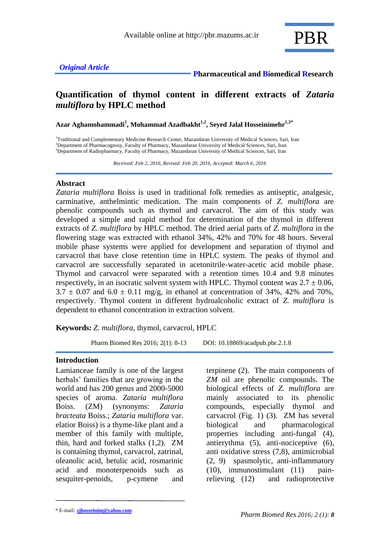## *Original Article*

#### **Pharmaceutical and Biomedical Research**

# **Quantification of thymol content in different extracts of** *Zataria multiflora* **by HPLC method**

**Azar Aghamohammadi<sup>1</sup> , Mohammad Azadbakht1,2 , Seyed Jalal Hosseinimehr1,3\***

<sup>1</sup>Traditional and Complementary Medicine Research Center, Mazandaran University of Medical Sciences, Sari, Iran <sup>2</sup>Department of Pharmacognosy, Faculty of Pharmacy, Mazandaran University of Medical Sciences, Sari, Iran <sup>3</sup>Department of Radiopharmacy, Faculty of Pharmacy, Mazandaran University of Medical Sciences, Sari, Iran

 *Received: Feb 2, 2016, Revised: Feb 20, 2016, Accepted: March 6, 2016*

#### **Abstract**

*Zataria multiflora* Boiss is used in traditional folk remedies as antiseptic, analgesic, carminative, anthelmintic medication. The main components of *Z. multiflora* are phenolic compounds such as thymol and carvacrol. The aim of this study was developed a simple and rapid method for determination of the thymol in different extracts of *Z. multiflora* by HPLC method. The dried aerial parts of *Z. multiflora* in the flowering stage was extracted with ethanol 34%, 42% and 70% for 48 hours. Several mobile phase systems were applied for development and separation of thymol and carvacrol that have close retention time in HPLC system. The peaks of thymol and carvacrol are successfully separated in acetonitrile-water-acetic acid mobile phase. Thymol and carvacrol were separated with a retention times 10.4 and 9.8 minutes respectively, in an isocratic solvent system with HPLC. Thymol content was  $2.7 \pm 0.06$ ,  $3.7 \pm 0.07$  and  $6.0 \pm 0.11$  mg/g, in ethanol at concentration of 34%, 42% and 70%, respectively. Thymol content in different hydroalcoholic extract of *Z. multiflora* is dependent to ethanol concentration in extraction solvent.

**Keywords:** *Z. multiflora*, thymol, carvacrol, HPLC

Pharm Biomed Res 2016; 2(1): 8-13 DOI: 10.18869/acadpub.pbr.2.1.8

#### **Introduction**

Lamianceae family is one of the largest herbals' families that are growing in the world and has 200 genus and 2000-5000 species of aroma. *Zataria multiflora* Boiss. (ZM) (synonyms: *Zataria bracteata* Boiss.; *Zataria multiflora* var. elatior Boiss) is a thyme-like plant and a member of this family with multiple, thin, hard and forked stalks (1,2). ZM is containing thymol, carvacrol, zatrinal, oleanolic acid, betulic acid, rosmarinic acid and monoterpenoids such as sesquiter-penoids, p-cymene and

terpinene (2). The main components of *ZM* oil are phenolic compounds. The biological effects of *Z. multiflora* are mainly associated to its phenolic compounds, especially thymol and carvacrol (Fig. 1) (3). ZM has several biological and pharmacological properties including anti-fungal (4), antierythma (5), anti-nociceptive (6), anti oxidative stress (7,8), antimicrobial (2, 9) spasmolytic, anti-inflammatory (10), immunostimulant (11) painrelieving (12) and radioprotective

<sup>\*</sup> E-mail: **sjhosseinim@yahoo.com**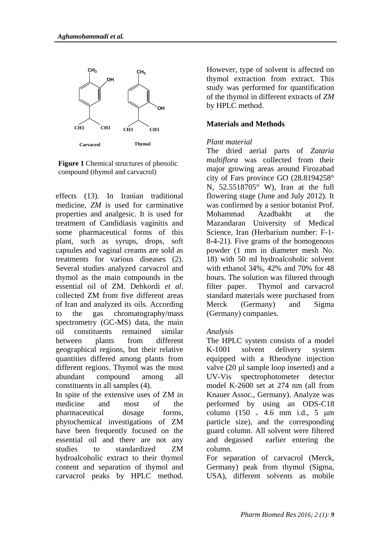

**Figure 1** Chemical structures of phenolic compound (thymol and carvacrol)

effects (13). In Iranian traditional medicine, *ZM* is used for carminative properties and analgesic. It is used for treatment of Candidiasis vaginitis and some pharmaceutical forms of this plant, such as syrups, drops, soft capsules and vaginal creams are sold as treatments for various diseases (2). Several studies analyzed carvacrol and thymol as the main compounds in the essential oil of ZM. Dehkordi *et al*. collected ZM from five different areas of Iran and analyzed its oils. According to the gas chromatography/mass spectrometry (GC-MS) data, the main oil constituents remained similar between plants from different geographical regions, but their relative quantities differed among plants from different regions. Thymol was the most abundant compound among all constituents in all samples (4).

In spite of the extensive uses of ZM in medicine and most of the pharmaceutical dosage forms, phytochemical investigations of ZM have been frequently focused on the essential oil and there are not any studies to standardized ZM hydroalcoholic extract to their thymol content and separation of thymol and carvacrol peaks by HPLC method.

However, type of solvent is affected on thymol extraction from extract. This study was performed for quantification of the thymol in different extracts of *ZM* by HPLC method.

#### **Materials and Methods**

#### *Plant material*

The dried aerial parts of *Zataria multiflora* was collected from their major growing areas around Firozabad city of Fars province GO (28.8194258° N, 52.5518705° W), Iran at the full flowering stage (June and July 2012). It was confirmed by a senior botanist Prof. Mohammad Azadbakht at the Mazandaran University of Medical Science, Iran (Herbarium number: F-1- 8-4-21). Five grams of the homogenous powder (1 mm in diameter mesh No. 18) with 50 ml hydroalcoholic solvent with ethanol 34%, 42% and 70% for 48 hours. The solution was filtered through filter paper. Thymol and carvacrol standard materials were purchased from Merck (Germany) and Sigma (Germany) companies.

## *Analysis*

The HPLC system consists of a model K-1001 solvent delivery system equipped with a Rheodyne injection valve (20 μl sample loop inserted) and a UV-Vis spectrophotometer detector model K-2600 set at 274 nm (all from Knauer Assoc., Germany). Analyze was performed by using an ODS-C18 column  $(150 \times 4.6 \text{ mm } \text{i.d., } 5 \text{ \mu m})$ particle size), and the corresponding guard column. All solvent were filtered and degassed earlier entering the column.

For separation of carvacrol (Merck, Germany) peak from thymol (Sigma, USA), different solvents as mobile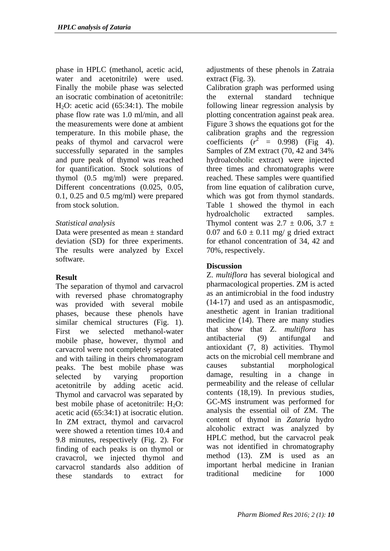phase in HPLC (methanol, acetic acid, water and acetonitrile) were used. Finally the mobile phase was selected an isocratic combination of acetonitrile: H<sub>2</sub>O: acetic acid  $(65:34:1)$ . The mobile phase flow rate was 1.0 ml/min, and all the measurements were done at ambient temperature. In this mobile phase, the peaks of thymol and carvacrol were successfully separated in the samples and pure peak of thymol was reached for quantification. Stock solutions of thymol (0.5 mg/ml) were prepared. Different concentrations (0.025, 0.05, 0.1, 0.25 and 0.5 mg/ml) were prepared from stock solution.

## *Statistical analysis*

Data were presented as mean ± standard deviation (SD) for three experiments. The results were analyzed by Excel software.

## **Result**

The separation of thymol and carvacrol with reversed phase chromatography was provided with several mobile phases, because these phenols have similar chemical structures (Fig. 1). First we selected methanol-water mobile phase, however, thymol and carvacrol were not completely separated and with tailing in theirs chromatogram peaks. The best mobile phase was selected by varying proportion acetonitrile by adding acetic acid. Thymol and carvacrol was separated by best mobile phase of acetonitrile:  $H_2O$ : acetic acid (65:34:1) at isocratic elution. In ZM extract, thymol and carvacrol were showed a retention times 10.4 and 9.8 minutes, respectively (Fig. 2). For finding of each peaks is on thymol or cravacrol, we injected thymol and carvacrol standards also addition of these standards to extract for

adjustments of these phenols in Zatraia extract (Fig. 3).

Calibration graph was performed using the external standard technique following linear regression analysis by plotting concentration against peak area. Figure 3 shows the equations got for the calibration graphs and the regression coefficients  $(r^2 = 0.998)$  (Fig 4). Samples of ZM extract (70, 42 and 34% hydroalcoholic extract) were injected three times and chromatographs were reached. These samples were quantified from line equation of calibration curve, which was got from thymol standards. Table 1 showed the thymol in each hydroalcholic extracted samples. Thymol content was  $2.7 \pm 0.06$ ,  $3.7 \pm 1$ 0.07 and  $6.0 \pm 0.11$  mg/ g dried extract for ethanol concentration of 34, 42 and 70%, respectively.

## **Discussion**

Z. *multiflora* has several biological and pharmacological properties. ZM is acted as an antimicrobial in the food industry (14-17) and used as an antispasmodic, anesthetic agent in Iranian traditional medicine (14). There are many studies that show that Z. *multiflora* has antibacterial (9) antifungal and antioxidant (7, 8) activities. Thymol acts on the microbial cell membrane and causes substantial morphological damage, resulting in a change in permeability and the release of cellular contents (18,19). In previous studies, GC-MS instrument was performed for analysis the essential oil of ZM. The content of thymol in *Zataria* hydro alcoholic extract was analyzed by HPLC method, but the carvacrol peak was not identified in chromatography method (13). ZM is used as an important herbal medicine in Iranian traditional medicine for 1000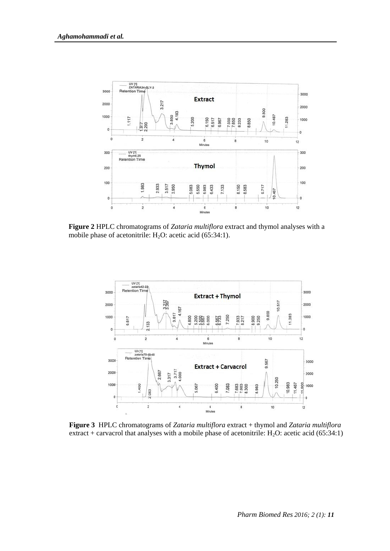

**Figure 2** HPLC chromatograms of *Zataria multiflora* extract and thymol analyses with a mobile phase of acetonitrile:  $H_2O$ : acetic acid (65:34:1).



**Figure 3** HPLC chromatograms of *Zataria multiflora* extract + thymol and *Zataria multiflora* extract + carvacrol that analyses with a mobile phase of acetonitrile:  $H_2O$ : acetic acid (65:34:1)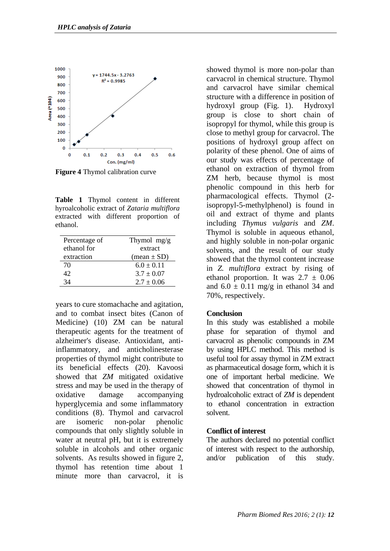

**Figure 4** Thymol calibration curve

**Table 1** Thymol content in different hyroalcoholic extract of *Zataria multiflora* extracted with different proportion of ethanol.

| Thymol $mg/g$          |
|------------------------|
| extract                |
| $(\text{mean} \pm SD)$ |
| $6.0 \pm 0.11$         |
| $3.7 \pm 0.07$         |
| $2.7 \pm 0.06$         |
|                        |

years to cure stomachache and agitation, and to combat insect bites (Canon of Medicine) (10) ZM can be natural therapeutic agents for the treatment of alzheimer's disease. Antioxidant, antiinflammatory, and anticholinesterase properties of thymol might contribute to its beneficial effects (20). [Kavoosi](http://www.sciencedirect.com/science/article/pii/S0278691512004164) showed that *ZM* mitigated oxidative stress and may be used in the therapy of oxidative damage accompanying hyperglycemia and some inflammatory conditions (8). Thymol and carvacrol are isomeric non-polar phenolic compounds that only slightly soluble in water at neutral pH, but it is extremely soluble in alcohols and other organic solvents. As results showed in figure 2, thymol has retention time about 1 minute more than carvacrol, it is

showed thymol is more non-polar than carvacrol in chemical structure. Thymol and carvacrol have similar chemical structure with a difference in position of hydroxyl group (Fig. 1). Hydroxyl group is close to short chain of isopropyl for thymol, while this group is close to methyl group for carvacrol. The positions of hydroxyl group affect on polarity of these phenol. One of aims of our study was effects of percentage of ethanol on extraction of thymol from ZM herb, because thymol is most phenolic compound in this herb for pharmacological effects. Thymol (2 isopropyl-5-methylphenol) is found in oil and extract of thyme and plants including *Thymus vulgaris* and *ZM*. Thymol is soluble in aqueous ethanol, and highly soluble in non-polar organic solvents, and the result of our study showed that the thymol content increase in *Z. multiflora* extract by rising of ethanol proportion. It was  $2.7 \pm 0.06$ and  $6.0 \pm 0.11$  mg/g in ethanol 34 and 70%, respectively.

## **Conclusion**

In this study was established a mobile phase for separation of thymol and carvacrol as phenolic compounds in ZM by using HPLC method. This method is useful tool for assay thymol in ZM extract as pharmaceutical dosage form, which it is one of important herbal medicine. We showed that concentration of thymol in hydroalcoholic extract of *ZM* is dependent to ethanol concentration in extraction solvent.

#### **Conflict of interest**

The authors declared no potential conflict of interest with respect to the authorship, and/or publication of this study.